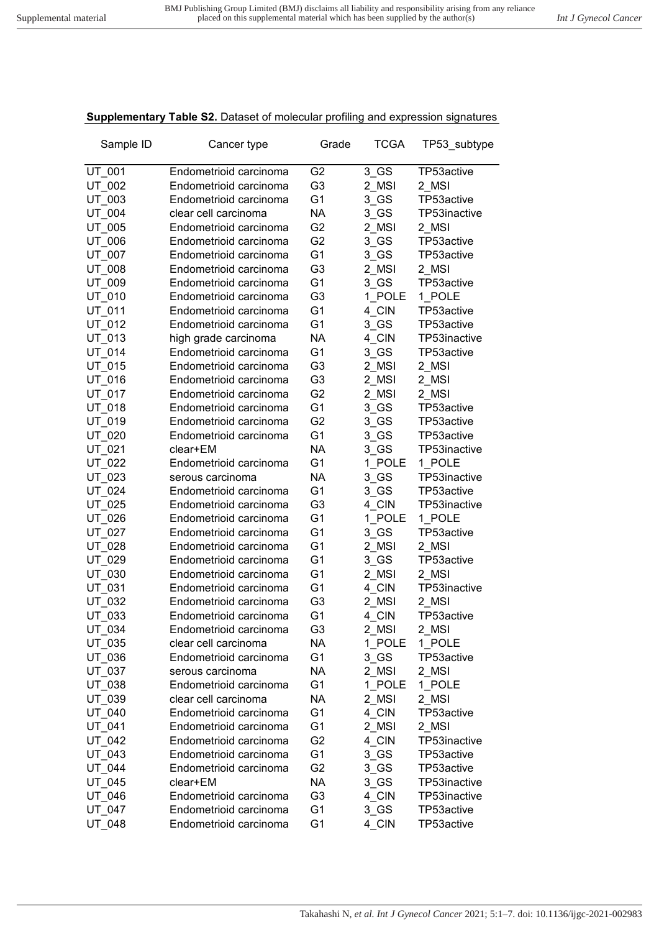## **Supplementary Table S2.** Dataset of molecular profiling and expression signatures

| Sample ID | Cancer type            | Grade          | <b>TCGA</b> | TP53_subtype |
|-----------|------------------------|----------------|-------------|--------------|
| UT 001    | Endometrioid carcinoma | G <sub>2</sub> | $3$ GS      | TP53active   |
| UT 002    | Endometrioid carcinoma | G <sub>3</sub> | 2 MSI       | 2 MSI        |
| UT 003    | Endometrioid carcinoma | G <sub>1</sub> | 3 GS        | TP53active   |
| UT 004    | clear cell carcinoma   | <b>NA</b>      | 3 GS        | TP53inactive |
| UT_005    | Endometrioid carcinoma | G <sub>2</sub> | 2 MSI       | 2 MSI        |
| UT 006    | Endometrioid carcinoma | G <sub>2</sub> | 3 GS        | TP53active   |
| UT_007    | Endometrioid carcinoma | G <sub>1</sub> | $3$ GS      | TP53active   |
| UT_008    | Endometrioid carcinoma | G <sub>3</sub> | 2 MSI       | 2 MSI        |
| UT_009    | Endometrioid carcinoma | G <sub>1</sub> | 3 GS        | TP53active   |
| UT_010    | Endometrioid carcinoma | G <sub>3</sub> | 1 POLE      | 1 POLE       |
| UT 011    | Endometrioid carcinoma | G <sub>1</sub> | 4 CIN       | TP53active   |
| UT 012    | Endometrioid carcinoma | G <sub>1</sub> | 3 GS        | TP53active   |
| UT 013    | high grade carcinoma   | <b>NA</b>      | 4 CIN       | TP53inactive |
| UT 014    | Endometrioid carcinoma | G <sub>1</sub> | 3 GS        | TP53active   |
| UT 015    | Endometrioid carcinoma | G <sub>3</sub> | 2 MSI       | 2 MSI        |
| UT 016    | Endometrioid carcinoma | G <sub>3</sub> | 2 MSI       | 2 MSI        |
| UT_017    | Endometrioid carcinoma | G <sub>2</sub> | 2 MSI       | 2_MSI        |
| UT 018    | Endometrioid carcinoma | G <sub>1</sub> | 3 GS        | TP53active   |
| UT_019    | Endometrioid carcinoma | G <sub>2</sub> | 3 GS        | TP53active   |
| UT_020    | Endometrioid carcinoma | G <sub>1</sub> | $3$ GS      | TP53active   |
| UT_021    | clear+EM               | NA             | 3 GS        | TP53inactive |
| UT 022    | Endometrioid carcinoma | G <sub>1</sub> | 1 POLE      | 1 POLE       |
| UT 023    | serous carcinoma       | NA             | 3 GS        | TP53inactive |
| UT 024    | Endometrioid carcinoma | G <sub>1</sub> | 3 GS        | TP53active   |
| UT 025    | Endometrioid carcinoma | G <sub>3</sub> | 4 CIN       | TP53inactive |
| UT 026    | Endometrioid carcinoma | G <sub>1</sub> | 1 POLE      | 1 POLE       |
| UT 027    | Endometrioid carcinoma | G <sub>1</sub> | 3 GS        | TP53active   |
| UT 028    | Endometrioid carcinoma | G <sub>1</sub> | 2 MSI       | 2 MSI        |
| UT_029    | Endometrioid carcinoma | G <sub>1</sub> | $3$ GS      | TP53active   |
| UT_030    | Endometrioid carcinoma | G <sub>1</sub> | 2 MSI       | 2 MSI        |
| UT_031    | Endometrioid carcinoma | G <sub>1</sub> | 4_CIN       | TP53inactive |
| UT 032    | Endometrioid carcinoma | G <sub>3</sub> | 2 MSI       | 2 MSI        |
| UT_033    | Endometrioid carcinoma | G <sub>1</sub> | 4 CIN       | TP53active   |
| UT_034    | Endometrioid carcinoma | G3             | 2_MSI       | 2_MSI        |
| UT 035    | clear cell carcinoma   | NA.            | 1 POLE      | 1_POLE       |
| UT_036    | Endometrioid carcinoma | G <sub>1</sub> | $3$ GS      | TP53active   |
| UT_037    | serous carcinoma       | <b>NA</b>      | 2 MSI       | 2 MSI        |
| UT_038    | Endometrioid carcinoma | G <sub>1</sub> | 1 POLE      | 1 POLE       |
| UT_039    | clear cell carcinoma   | NA             | 2 MSI       | 2 MSI        |
| UT 040    | Endometrioid carcinoma | G <sub>1</sub> | 4 CIN       | TP53active   |
| UT 041    | Endometrioid carcinoma | G <sub>1</sub> | 2 MSI       | 2 MSI        |
| UT_042    | Endometrioid carcinoma | G <sub>2</sub> | 4 CIN       | TP53inactive |
| UT_043    | Endometrioid carcinoma | G <sub>1</sub> | $3$ GS      | TP53active   |
| UT 044    | Endometrioid carcinoma | G <sub>2</sub> | $3$ GS      | TP53active   |
| UT_045    | clear+EM               | <b>NA</b>      | $3$ GS      | TP53inactive |
| UT 046    | Endometrioid carcinoma | G <sub>3</sub> | 4 CIN       | TP53inactive |
| UT_047    | Endometrioid carcinoma | G <sub>1</sub> | $3$ GS      | TP53active   |
| UT_048    | Endometrioid carcinoma | G <sub>1</sub> | 4_CIN       | TP53active   |
|           |                        |                |             |              |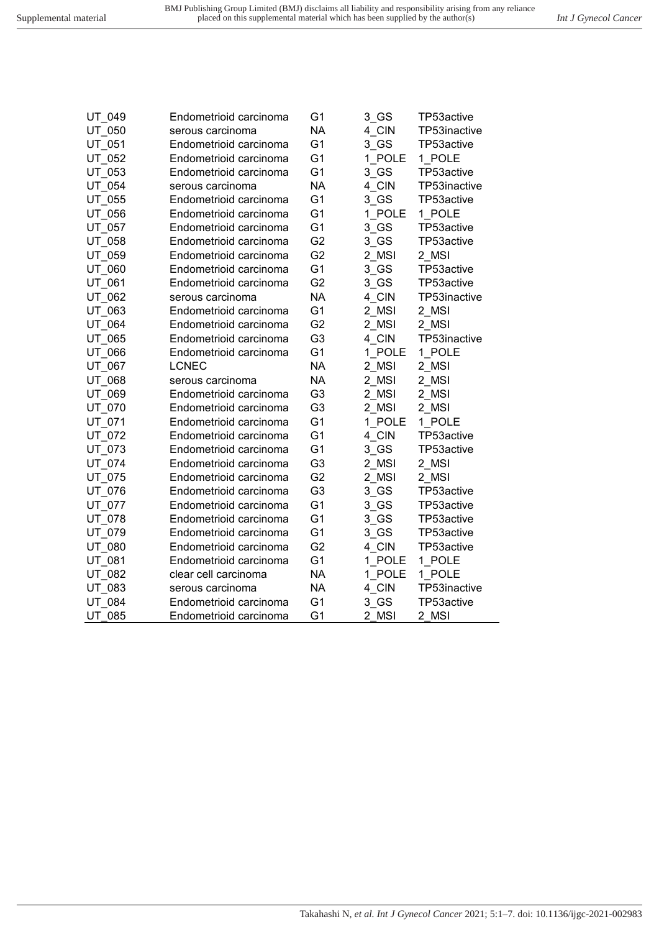| UT 049        | Endometrioid carcinoma | G1             | 3 GS   | TP53active   |
|---------------|------------------------|----------------|--------|--------------|
| UT 050        | serous carcinoma       | <b>NA</b>      | 4 CIN  | TP53inactive |
| UT 051        | Endometrioid carcinoma | G <sub>1</sub> | 3 GS   | TP53active   |
| UT 052        | Endometrioid carcinoma | G <sub>1</sub> | 1 POLE | 1 POLE       |
| UT 053        | Endometrioid carcinoma | G <sub>1</sub> | 3 GS   | TP53active   |
| UT 054        | serous carcinoma       | <b>NA</b>      | 4 CIN  | TP53inactive |
| UT 055        | Endometrioid carcinoma | G <sub>1</sub> | 3 GS   | TP53active   |
| UT 056        | Endometrioid carcinoma | G <sub>1</sub> | 1 POLE | 1 POLE       |
| UT 057        | Endometrioid carcinoma | G <sub>1</sub> | 3 GS   | TP53active   |
| UT_058        | Endometrioid carcinoma | G <sub>2</sub> | 3 GS   | TP53active   |
| UT 059        | Endometrioid carcinoma | G <sub>2</sub> | 2 MSI  | 2 MSI        |
| UT_060        | Endometrioid carcinoma | G <sub>1</sub> | 3 GS   | TP53active   |
| UT 061        | Endometrioid carcinoma | G <sub>2</sub> | 3 GS   | TP53active   |
| UT 062        | serous carcinoma       | <b>NA</b>      | 4 CIN  | TP53inactive |
| UT 063        | Endometrioid carcinoma | G <sub>1</sub> | 2 MSI  | 2 MSI        |
| UT 064        | Endometrioid carcinoma | G <sub>2</sub> | 2_MSI  | 2 MSI        |
| UT 065        | Endometrioid carcinoma | G <sub>3</sub> | 4 CIN  | TP53inactive |
| UT 066        | Endometrioid carcinoma | G <sub>1</sub> | 1 POLE | 1 POLE       |
| UT 067        | <b>LCNEC</b>           | <b>NA</b>      | 2 MSI  | 2 MSI        |
| UT 068        | serous carcinoma       | <b>NA</b>      | 2 MSI  | 2 MSI        |
| UT 069        | Endometrioid carcinoma | G <sub>3</sub> | 2 MSI  | 2 MSI        |
| UT 070        | Endometrioid carcinoma | G <sub>3</sub> | 2 MSI  | 2 MSI        |
| UT 071        | Endometrioid carcinoma | G <sub>1</sub> | 1 POLE | 1 POLE       |
| UT 072        | Endometrioid carcinoma | G <sub>1</sub> | 4 CIN  | TP53active   |
| UT 073        | Endometrioid carcinoma | G <sub>1</sub> | 3 GS   | TP53active   |
| UT 074        | Endometrioid carcinoma | G <sub>3</sub> | 2_MSI  | 2 MSI        |
| UT 075        | Endometrioid carcinoma | G <sub>2</sub> | 2 MSI  | 2 MSI        |
| UT 076        | Endometrioid carcinoma | G <sub>3</sub> | 3 GS   | TP53active   |
| UT_077        | Endometrioid carcinoma | G <sub>1</sub> | 3 GS   | TP53active   |
| UT 078        | Endometrioid carcinoma | G <sub>1</sub> | 3 GS   | TP53active   |
| UT 079        | Endometrioid carcinoma | G <sub>1</sub> | 3 GS   | TP53active   |
| UT 080        | Endometrioid carcinoma | G <sub>2</sub> | 4 CIN  | TP53active   |
| UT 081        | Endometrioid carcinoma | G <sub>1</sub> | 1 POLE | 1 POLE       |
| UT 082        | clear cell carcinoma   | <b>NA</b>      | 1 POLE | 1 POLE       |
| UT 083        | serous carcinoma       | <b>NA</b>      | 4 CIN  | TP53inactive |
| UT 084        | Endometrioid carcinoma | G <sub>1</sub> | 3 GS   | TP53active   |
| <b>UT 085</b> | Endometrioid carcinoma | G <sub>1</sub> | 2 MSI  | 2 MSI        |
|               |                        |                |        |              |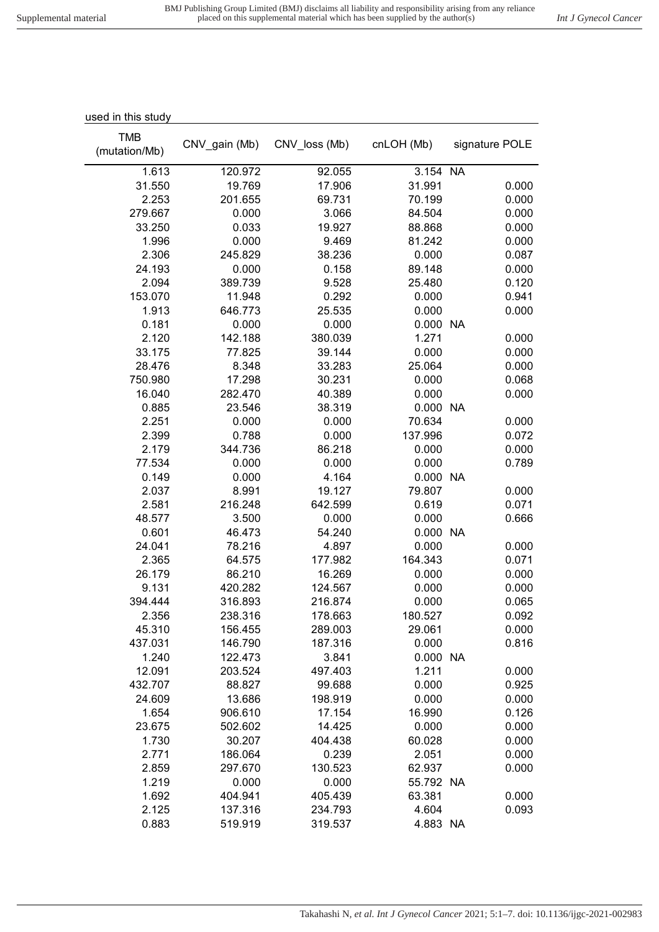| used in this study |               |               |            |                |
|--------------------|---------------|---------------|------------|----------------|
| <b>TMB</b>         |               |               |            |                |
| (mutation/Mb)      | CNV_gain (Mb) | CNV_loss (Mb) | cnLOH (Mb) | signature POLE |
|                    |               |               |            |                |
| 1.613              | 120.972       | 92.055        | 3.154 NA   |                |
| 31.550             | 19.769        | 17.906        | 31.991     | 0.000          |
| 2.253              | 201.655       | 69.731        | 70.199     | 0.000          |
| 279.667            | 0.000         | 3.066         | 84.504     | 0.000          |
| 33.250             | 0.033         | 19.927        | 88.868     | 0.000          |
| 1.996              | 0.000         | 9.469         | 81.242     | 0.000          |
| 2.306              | 245.829       | 38.236        | 0.000      | 0.087          |
| 24.193             | 0.000         | 0.158         | 89.148     | 0.000          |
| 2.094              | 389.739       | 9.528         | 25.480     | 0.120          |
| 153.070            | 11.948        | 0.292         | 0.000      | 0.941          |
| 1.913              | 646.773       | 25.535        | 0.000      | 0.000          |
| 0.181              | 0.000         | 0.000         | 0.000 NA   |                |
| 2.120              | 142.188       | 380.039       | 1.271      | 0.000          |
| 33.175             | 77.825        | 39.144        | 0.000      | 0.000          |
| 28.476             | 8.348         | 33.283        | 25.064     | 0.000          |
| 750.980            | 17.298        | 30.231        | 0.000      | 0.068          |
| 16.040             | 282.470       | 40.389        | 0.000      | 0.000          |
| 0.885              | 23.546        | 38.319        | 0.000 NA   |                |
| 2.251              | 0.000         | 0.000         | 70.634     | 0.000          |
| 2.399              | 0.788         | 0.000         | 137.996    | 0.072          |
| 2.179              | 344.736       | 86.218        | 0.000      | 0.000          |
| 77.534             | 0.000         | 0.000         | 0.000      | 0.789          |
| 0.149              | 0.000         | 4.164         | 0.000 NA   |                |
| 2.037              | 8.991         | 19.127        | 79.807     | 0.000          |
| 2.581              | 216.248       | 642.599       | 0.619      | 0.071          |
| 48.577             | 3.500         | 0.000         | 0.000      | 0.666          |
| 0.601              | 46.473        | 54.240        | 0.000      | <b>NA</b>      |
| 24.041             | 78.216        | 4.897         | 0.000      | 0.000          |
| 2.365              | 64.575        | 177.982       | 164.343    | 0.071          |
| 26.179             | 86.210        | 16.269        | 0.000      | 0.000          |
| 9.131              | 420.282       | 124.567       | 0.000      | 0.000          |
| 394.444            | 316.893       | 216.874       | 0.000      | 0.065          |
| 2.356              | 238.316       | 178.663       | 180.527    | 0.092          |
| 45.310             | 156.455       | 289.003       | 29.061     | 0.000          |
| 437.031            | 146.790       | 187.316       | 0.000      | 0.816          |
| 1.240              | 122.473       | 3.841         | 0.000 NA   |                |
| 12.091             | 203.524       | 497.403       | 1.211      | 0.000          |
| 432.707            | 88.827        | 99.688        | 0.000      | 0.925          |
| 24.609             | 13.686        | 198.919       | 0.000      | 0.000          |
| 1.654              | 906.610       | 17.154        | 16.990     | 0.126          |
| 23.675             | 502.602       | 14.425        | 0.000      | 0.000          |
| 1.730              | 30.207        | 404.438       | 60.028     | 0.000          |
| 2.771              | 186.064       | 0.239         | 2.051      | 0.000          |
| 2.859              | 297.670       | 130.523       | 62.937     | 0.000          |
| 1.219              | 0.000         | 0.000         | 55.792 NA  |                |
| 1.692              | 404.941       | 405.439       | 63.381     | 0.000          |
| 2.125              | 137.316       | 234.793       | 4.604      | 0.093          |
| 0.883              | 519.919       | 319.537       | 4.883 NA   |                |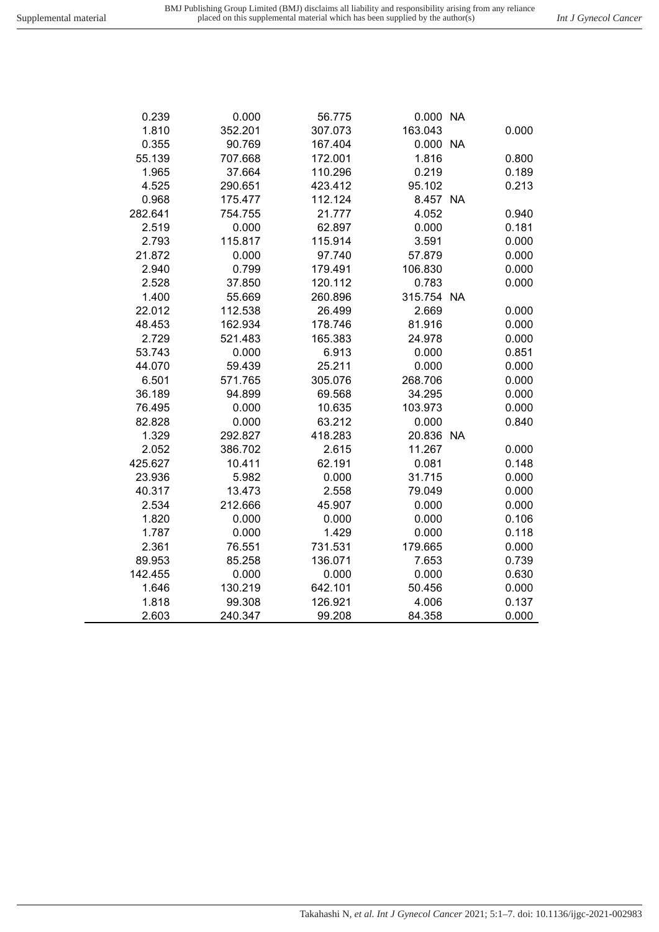| 0.239   | 0.000   | 56.775  | 0.000 NA   |       |
|---------|---------|---------|------------|-------|
| 1.810   | 352.201 | 307.073 | 163.043    | 0.000 |
| 0.355   | 90.769  | 167.404 | 0.000 NA   |       |
| 55.139  | 707.668 | 172.001 | 1.816      | 0.800 |
| 1.965   | 37.664  | 110.296 | 0.219      | 0.189 |
| 4.525   | 290.651 | 423.412 | 95.102     | 0.213 |
| 0.968   | 175.477 | 112.124 | 8.457 NA   |       |
| 282.641 | 754.755 | 21.777  | 4.052      | 0.940 |
| 2.519   | 0.000   | 62.897  | 0.000      | 0.181 |
| 2.793   | 115.817 | 115.914 | 3.591      | 0.000 |
| 21.872  | 0.000   | 97.740  | 57.879     | 0.000 |
| 2.940   | 0.799   | 179.491 | 106.830    | 0.000 |
| 2.528   | 37.850  | 120.112 | 0.783      | 0.000 |
| 1.400   | 55.669  | 260.896 | 315.754 NA |       |
| 22.012  | 112.538 | 26.499  | 2.669      | 0.000 |
| 48.453  | 162.934 | 178.746 | 81.916     | 0.000 |
| 2.729   | 521.483 | 165.383 | 24.978     | 0.000 |
| 53.743  | 0.000   | 6.913   | 0.000      | 0.851 |
| 44.070  | 59.439  | 25.211  | 0.000      | 0.000 |
| 6.501   | 571.765 | 305.076 | 268.706    | 0.000 |
| 36.189  | 94.899  | 69.568  | 34.295     | 0.000 |
| 76.495  | 0.000   | 10.635  | 103.973    | 0.000 |
| 82.828  | 0.000   | 63.212  | 0.000      | 0.840 |
| 1.329   | 292.827 | 418.283 | 20.836 NA  |       |
| 2.052   | 386.702 | 2.615   | 11.267     | 0.000 |
| 425.627 | 10.411  | 62.191  | 0.081      | 0.148 |
| 23.936  | 5.982   | 0.000   | 31.715     | 0.000 |
| 40.317  | 13.473  | 2.558   | 79.049     | 0.000 |
| 2.534   | 212.666 | 45.907  | 0.000      | 0.000 |
| 1.820   | 0.000   | 0.000   | 0.000      | 0.106 |
| 1.787   | 0.000   | 1.429   | 0.000      | 0.118 |
| 2.361   | 76.551  | 731.531 | 179.665    | 0.000 |
| 89.953  | 85.258  | 136.071 | 7.653      | 0.739 |
| 142.455 | 0.000   | 0.000   | 0.000      | 0.630 |
| 1.646   | 130.219 | 642.101 | 50.456     | 0.000 |
| 1.818   | 99.308  | 126.921 | 4.006      | 0.137 |

2.603 240.347 99.208 84.358 0.000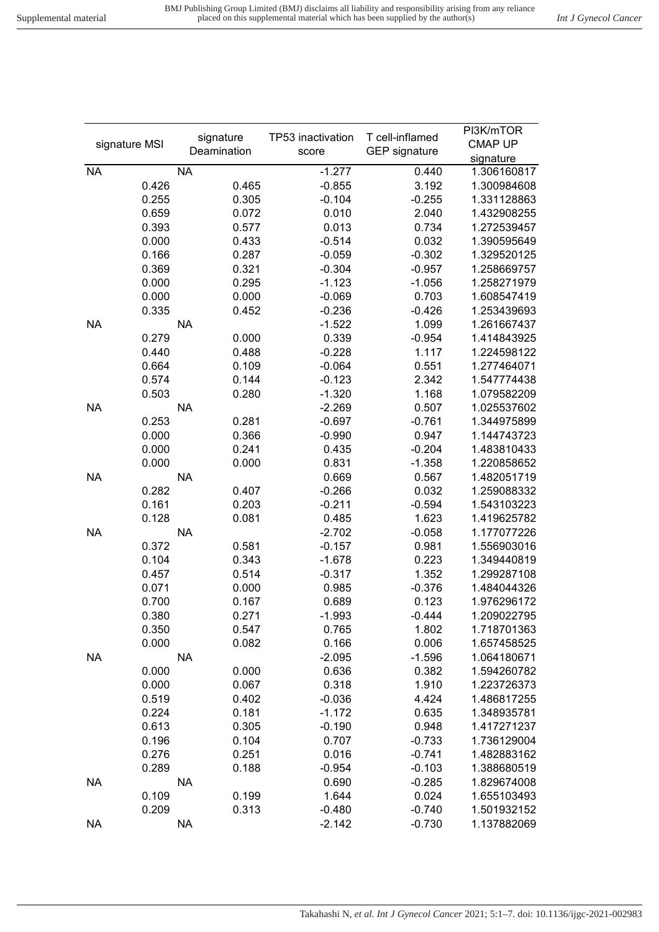|               | signature   | TP53 inactivation | T cell-inflamed      | PI3K/mTOR   |
|---------------|-------------|-------------------|----------------------|-------------|
| signature MSI | Deamination | score             | <b>GEP</b> signature | CMAP UP     |
|               |             |                   |                      | signature   |
| <b>NA</b>     | <b>NA</b>   | $-1.277$          | 0.440                | 1.306160817 |
| 0.426         | 0.465       | $-0.855$          | 3.192                | 1.300984608 |
| 0.255         | 0.305       | $-0.104$          | $-0.255$             | 1.331128863 |
| 0.659         | 0.072       | 0.010             | 2.040                | 1.432908255 |
| 0.393         | 0.577       | 0.013             | 0.734                | 1.272539457 |
| 0.000         | 0.433       | $-0.514$          | 0.032                | 1.390595649 |
| 0.166         | 0.287       | $-0.059$          | $-0.302$             | 1.329520125 |
| 0.369         | 0.321       | $-0.304$          | $-0.957$             | 1.258669757 |
| 0.000         | 0.295       | $-1.123$          | $-1.056$             | 1.258271979 |
| 0.000         | 0.000       | $-0.069$          | 0.703                | 1.608547419 |
| 0.335         | 0.452       | $-0.236$          | $-0.426$             | 1.253439693 |
| <b>NA</b>     | <b>NA</b>   | $-1.522$          | 1.099                | 1.261667437 |
| 0.279         | 0.000       | 0.339             | $-0.954$             | 1.414843925 |
| 0.440         | 0.488       | $-0.228$          | 1.117                | 1.224598122 |
| 0.664         | 0.109       | $-0.064$          | 0.551                | 1.277464071 |
| 0.574         | 0.144       | $-0.123$          | 2.342                | 1.547774438 |
| 0.503         | 0.280       | $-1.320$          | 1.168                | 1.079582209 |
| <b>NA</b>     | <b>NA</b>   | $-2.269$          | 0.507                | 1.025537602 |
| 0.253         | 0.281       | $-0.697$          | $-0.761$             | 1.344975899 |
| 0.000         | 0.366       | $-0.990$          | 0.947                | 1.144743723 |
| 0.000         | 0.241       | 0.435             | $-0.204$             | 1.483810433 |
| 0.000         | 0.000       | 0.831             | $-1.358$             | 1.220858652 |
| <b>NA</b>     | <b>NA</b>   | 0.669             | 0.567                | 1.482051719 |
| 0.282         | 0.407       | $-0.266$          | 0.032                | 1.259088332 |
| 0.161         | 0.203       | $-0.211$          | $-0.594$             | 1.543103223 |
| 0.128         | 0.081       | 0.485             | 1.623                | 1.419625782 |
| <b>NA</b>     | <b>NA</b>   | $-2.702$          | $-0.058$             | 1.177077226 |
| 0.372         | 0.581       | $-0.157$          | 0.981                | 1.556903016 |
| 0.104         | 0.343       | $-1.678$          | 0.223                | 1.349440819 |
| 0.457         | 0.514       | $-0.317$          | 1.352                | 1.299287108 |
| 0.071         | 0.000       | 0.985             | $-0.376$             | 1.484044326 |
| 0.700         | 0.167       | 0.689             | 0.123                | 1.976296172 |
| 0.380         | 0.271       | $-1.993$          | $-0.444$             | 1.209022795 |
| 0.350         | 0.547       | 0.765             | 1.802                | 1.718701363 |
| 0.000         | 0.082       | 0.166             | 0.006                | 1.657458525 |
| <b>NA</b>     | <b>NA</b>   | $-2.095$          |                      | 1.064180671 |
|               |             |                   | $-1.596$             |             |
| 0.000         | 0.000       | 0.636             | 0.382                | 1.594260782 |
| 0.000         | 0.067       | 0.318             | 1.910                | 1.223726373 |
| 0.519         | 0.402       | $-0.036$          | 4.424                | 1.486817255 |
| 0.224         | 0.181       | $-1.172$          | 0.635                | 1.348935781 |
| 0.613         | 0.305       | $-0.190$          | 0.948                | 1.417271237 |
| 0.196         | 0.104       | 0.707             | $-0.733$             | 1.736129004 |
| 0.276         | 0.251       | 0.016             | $-0.741$             | 1.482883162 |
| 0.289         | 0.188       | $-0.954$          | $-0.103$             | 1.388680519 |
| <b>NA</b>     | <b>NA</b>   | 0.690             | $-0.285$             | 1.829674008 |
| 0.109         | 0.199       | 1.644             | 0.024                | 1.655103493 |
| 0.209         | 0.313       | $-0.480$          | $-0.740$             | 1.501932152 |
| <b>NA</b>     | <b>NA</b>   | $-2.142$          | $-0.730$             | 1.137882069 |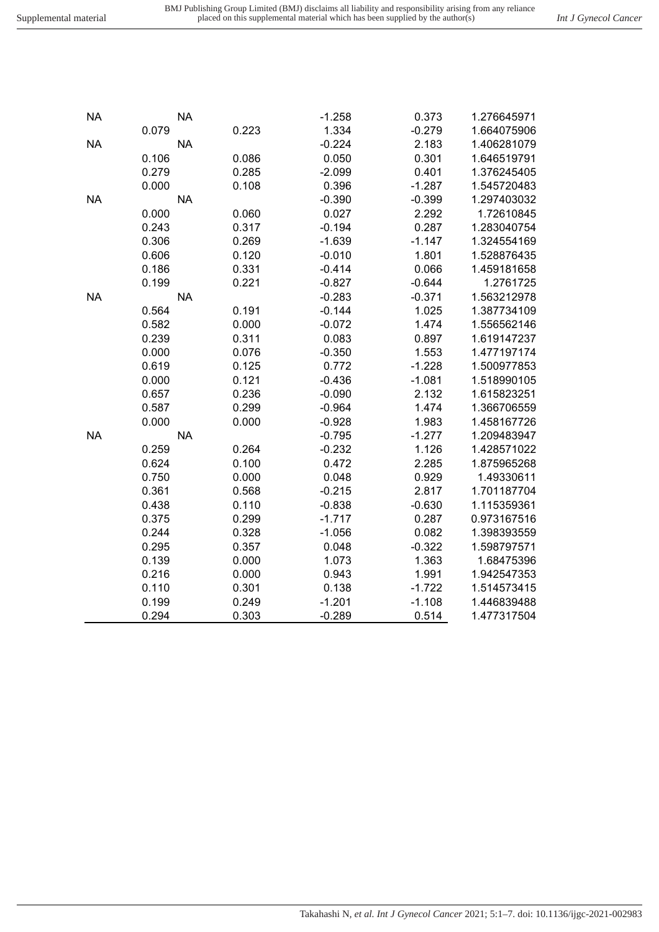Takahashi N*, et al. Int J Gynecol Cancer* 2021; 5:1–7. doi: 10.1136/ijgc-2021-002983

| $\overline{\mathcal{A}}$ | 0.100 | 0.472    | 2.285    | 1.875 |
|--------------------------|-------|----------|----------|-------|
| 0                        | 0.000 | 0.048    | 0.929    | 1.49  |
| 1                        | 0.568 | $-0.215$ | 2.817    | 1.701 |
| 8                        | 0.110 | $-0.838$ | $-0.630$ | 1.115 |
| $\overline{5}$           | 0.299 | $-1.717$ | 0.287    | 0.973 |
| 4                        | 0.328 | $-1.056$ | 0.082    | 1.398 |
| 5                        | 0.357 | 0.048    | $-0.322$ | 1.598 |
| 9                        | 0.000 | 1.073    | 1.363    | 1.684 |
| 6                        | 0.000 | 0.943    | 1.991    | 1.942 |
| 0                        | 0.301 | 0.138    | $-1.722$ | 1.514 |
| 9                        | 0.249 | $-1.201$ | $-1.108$ | 1.446 |
| 4                        | 0.303 | $-0.289$ | 0.514    | 1.477 |
|                          |       |          |          |       |

|           | 0.079     | 0.223 | 1.334    | $-0.279$ | 1.664075906 |
|-----------|-----------|-------|----------|----------|-------------|
| <b>NA</b> | <b>NA</b> |       | $-0.224$ | 2.183    | 1.406281079 |
|           | 0.106     | 0.086 | 0.050    | 0.301    | 1.646519791 |
|           | 0.279     | 0.285 | $-2.099$ | 0.401    | 1.376245405 |
|           | 0.000     | 0.108 | 0.396    | $-1.287$ | 1.545720483 |
| <b>NA</b> | <b>NA</b> |       | $-0.390$ | $-0.399$ | 1.297403032 |
|           | 0.000     | 0.060 | 0.027    | 2.292    | 1.72610845  |
|           | 0.243     | 0.317 | $-0.194$ | 0.287    | 1.283040754 |
|           | 0.306     | 0.269 | $-1.639$ | $-1.147$ | 1.324554169 |
|           | 0.606     | 0.120 | $-0.010$ | 1.801    | 1.528876435 |
|           | 0.186     | 0.331 | $-0.414$ | 0.066    | 1.459181658 |
|           | 0.199     | 0.221 | $-0.827$ | $-0.644$ | 1.2761725   |
| <b>NA</b> | <b>NA</b> |       | $-0.283$ | $-0.371$ | 1.563212978 |
|           | 0.564     | 0.191 | $-0.144$ | 1.025    | 1.387734109 |
|           | 0.582     | 0.000 | $-0.072$ | 1.474    | 1.556562146 |
|           | 0.239     | 0.311 | 0.083    | 0.897    | 1.619147237 |
|           | 0.000     | 0.076 | $-0.350$ | 1.553    | 1.477197174 |
|           | 0.619     | 0.125 | 0.772    | $-1.228$ | 1.500977853 |
|           | 0.000     | 0.121 | $-0.436$ | $-1.081$ | 1.518990105 |
|           | 0.657     | 0.236 | $-0.090$ | 2.132    | 1.615823251 |
|           | 0.587     | 0.299 | $-0.964$ | 1.474    | 1.366706559 |
|           | 0.000     | 0.000 | $-0.928$ | 1.983    | 1.458167726 |
| <b>NA</b> | <b>NA</b> |       | $-0.795$ | $-1.277$ | 1.209483947 |
|           | 0.259     | 0.264 | $-0.232$ | 1.126    | 1.428571022 |
|           | 0.624     | 0.100 | 0.472    | 2.285    | 1.875965268 |
|           | 0.750     | 0.000 | 0.048    | 0.929    | 1.49330611  |
|           | 0.361     | 0.568 | $-0.215$ | 2.817    | 1.701187704 |
|           | 0.438     | 0.110 | $-0.838$ | $-0.630$ | 1.115359361 |
|           | 0.375     | 0.299 | $-1.717$ | 0.287    | 0.973167516 |
|           | 0.244     | 0.328 | $-1.056$ | 0.082    | 1.398393559 |
|           | 0.295     | 0.357 | 0.048    | $-0.322$ | 1.598797571 |
|           | 0.139     | 0.000 | 1.073    | 1.363    | 1.68475396  |
|           | 0.216     | 0.000 | 0.943    | 1.991    | 1.942547353 |
|           | 0.110     | 0.301 | 0.138    | $-1.722$ | 1.514573415 |
|           | 0.199     | 0.249 | $-1.201$ | $-1.108$ | 1.446839488 |
|           | 0.294     | 0.303 | $-0.289$ | 0.514    | 1.477317504 |

NA NA -1.258 0.373 1.276645971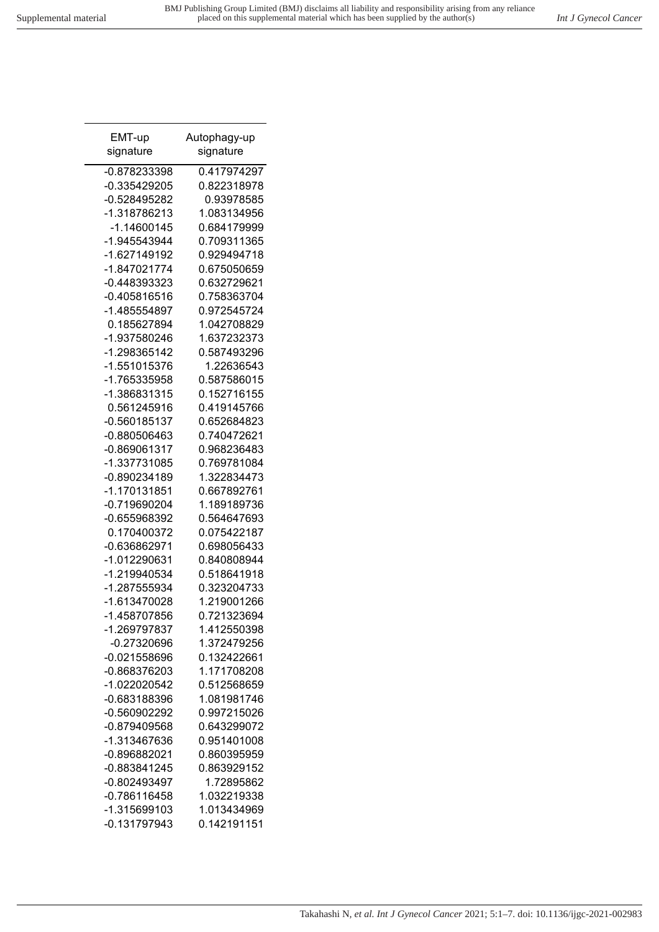| EMT-up                       | Autophagy-up               |
|------------------------------|----------------------------|
| signature                    | signature                  |
| -0.878233398                 | 0.417974297                |
| -0.335429205                 | 0.822318978                |
| -0.528495282                 | 0.93978585                 |
| -1.318786213                 | 1.083134956                |
| -1.14600145                  | 0.684179999                |
| -1.945543944                 | 0.709311365                |
| -1.627149192                 | 0.929494718                |
| -1.847021774                 | 0.675050659                |
| -0.448393323                 | 0.632729621                |
| $-0.405816516$               | 0.758363704                |
| -1.485554897                 | 0.972545724                |
| 0.185627894                  | 1.042708829                |
| -1.937580246                 | 1.637232373                |
| -1.298365142                 | 0.587493296                |
| -1.551015376                 | 1.22636543                 |
| -1.765335958                 | 0.587586015                |
| -1.386831315                 | 0.152716155                |
| 0.561245916                  | 0.419145766                |
| -0.560185137                 | 0.652684823                |
| -0.880506463                 | 0.740472621                |
| -0.869061317                 | 0.968236483                |
| -1.337731085                 | 0.769781084                |
| -0.890234189                 | 1.322834473                |
| -1.170131851                 | 0.667892761                |
| -0.719690204                 | 1.189189736                |
| -0.655968392                 | 0.564647693                |
| 0.170400372                  | 0.075422187                |
| -0.636862971                 | 0.698056433<br>0.840808944 |
| -1.012290631                 | 0.518641918                |
| -1.219940534<br>-1.287555934 | 0.323204733                |
| -1.613470028                 | 1.219001266                |
| -1.458707856                 | 0.721323694                |
| -1.269797837                 | 1.412550398                |
| $-0.27320696$                | 1.372479256                |
| $-0.021558696$               | 0.132422661                |
| -0.868376203                 | 1.171708208                |
| -1.022020542                 | 0.512568659                |
| -0.683188396                 | 1.081981746                |
| -0.560902292                 | 0.997215026                |
| -0.879409568                 | 0.643299072                |
| -1.313467636                 | 0.951401008                |
| -0.896882021                 | 0.860395959                |
| -0.883841245                 | 0.863929152                |
| -0.802493497                 | 1.72895862                 |
| $-0.786116458$               | 1.032219338                |
| -1.315699103                 | 1.013434969                |
| $-0.131797943$               | 0.142191151                |
|                              |                            |